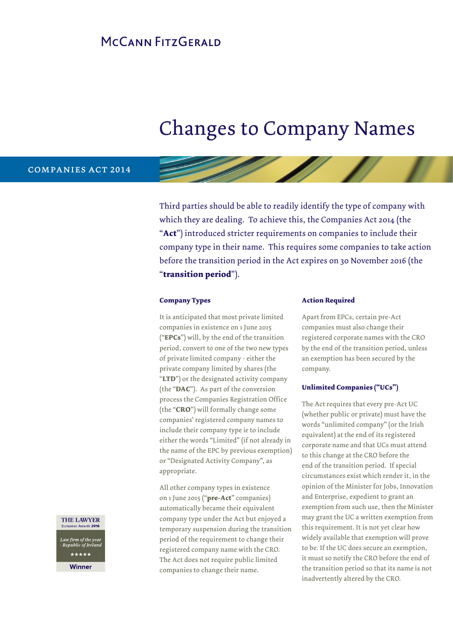### MCCANN FITZGERAID

# Changes to Company Names

#### companies act 2014

Third parties should be able to readily identify the type of company with which they are dealing. To achieve this, the Companies Act 2014 (the "**Act**") introduced stricter requirements on companies to include their company type in their name. This requires some companies to take action before the transition period in the Act expires on 30 November 2016 (the "**transition period**").

#### **Company Types**

It is anticipated that most private limited companies in existence on 1 June 2015 ("**EPCs**") will, by the end of the transition period, convert to one of the two new types of private limited company - either the private company limited by shares (the "**LTD**") or the designated activity company (the "**DAC**"). As part of the conversion process the Companies Registration Office (the "**CRO**") will formally change some companies' registered company names to include their company type *ie* to include either the words "Limited" (if not already in the name of the EPC by previous exemption) or "Designated Activity Company", as appropriate.

All other company types in existence on 1 June 2015 ("**pre-Act**" companies) automatically became their equivalent company type under the Act but enjoyed a temporary suspension during the transition period of the requirement to change their registered company name with the CRO. The Act does not require public limited companies to change their name.

#### **Action Required**

Apart from EPCs, certain pre-Act companies must also change their registered corporate names with the CRO by the end of the transition period, unless an exemption has been secured by the company.

#### **Unlimited Companies ("UCs")**

The Act requires that every pre-Act UC (whether public or private) must have the words "unlimited company" (or the Irish equivalent) at the end of its registered corporate name and that UCs must attend to this change at the CRO before the end of the transition period. If special circumstances exist which render it, in the opinion of the Minister for Jobs, Innovation and Enterprise, expedient to grant an exemption from such use, then the Minister may grant the UC a written exemption from this requirement. It is not yet clear how widely available that exemption will prove to be. If the UC does secure an exemption, it must so notify the CRO before the end of the transition period so that its name is not inadvertently altered by the CRO.

#### THE LAWYER European Awards 2016

Law firm of the year<br>- Republic of Ireland \*\*\*\*\*

**Winner**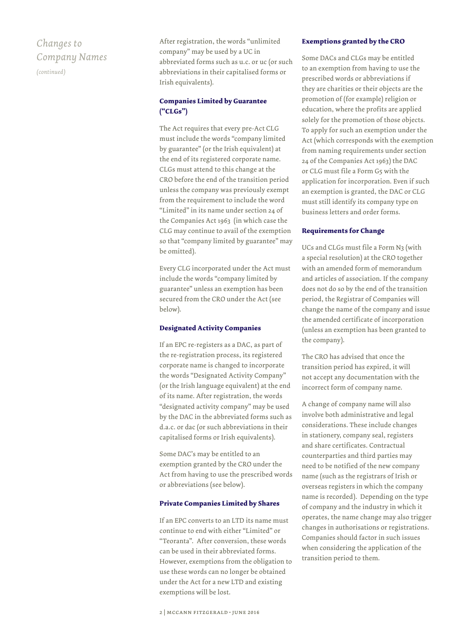### *Changes to Company Names*

*(continued)*

After registration, the words "unlimited company" may be used by a UC in abbreviated forms such as u.c. or uc (or such abbreviations in their capitalised forms or Irish equivalents).

### **Companies Limited by Guarantee ("CLGs")**

The Act requires that every pre-Act CLG must include the words "company limited by guarantee" (or the Irish equivalent) at the end of its registered corporate name. CLGs must attend to this change at the CRO before the end of the transition period unless the company was previously exempt from the requirement to include the word "Limited" in its name under section 24 of the Companies Act 1963 (in which case the CLG may continue to avail of the exemption so that "company limited by guarantee" may be omitted).

Every CLG incorporated under the Act must include the words "company limited by guarantee" unless an exemption has been secured from the CRO under the Act (see below).

#### **Designated Activity Companies**

If an EPC re-registers as a DAC, as part of the re-registration process, its registered corporate name is changed to incorporate the words "Designated Activity Company" (or the Irish language equivalent) at the end of its name. After registration, the words "designated activity company" may be used by the DAC in the abbreviated forms such as d.a.c. or dac (or such abbreviations in their capitalised forms or Irish equivalents).

Some DAC's may be entitled to an exemption granted by the CRO under the Act from having to use the prescribed words or abbreviations (see below).

#### **Private Companies Limited by Shares**

If an EPC converts to an LTD its name must continue to end with either "Limited" or "Teoranta". After conversion, these words can be used in their abbreviated forms. However, exemptions from the obligation to use these words can no longer be obtained under the Act for a new LTD and existing exemptions will be lost.

#### **Exemptions granted by the CRO**

Some DACs and CLGs may be entitled to an exemption from having to use the prescribed words or abbreviations if they are charities or their objects are the promotion of (for example) religion or education, where the profits are applied solely for the promotion of those objects. To apply for such an exemption under the Act (which corresponds with the exemption from naming requirements under section 24 of the Companies Act 1963) the DAC or CLG must file a Form G5 with the application for incorporation. Even if such an exemption is granted, the DAC or CLG must still identify its company type on business letters and order forms.

#### **Requirements for Change**

UCs and CLGs must file a Form N3 (with a special resolution) at the CRO together with an amended form of memorandum and articles of association. If the company does not do so by the end of the transition period, the Registrar of Companies will change the name of the company and issue the amended certificate of incorporation (unless an exemption has been granted to the company).

The CRO has advised that once the transition period has expired, it will not accept any documentation with the incorrect form of company name.

A change of company name will also involve both administrative and legal considerations. These include changes in stationery, company seal, registers and share certificates. Contractual counterparties and third parties may need to be notified of the new company name (such as the registrars of Irish or overseas registers in which the company name is recorded). Depending on the type of company and the industry in which it operates, the name change may also trigger changes in authorisations or registrations. Companies should factor in such issues when considering the application of the transition period to them.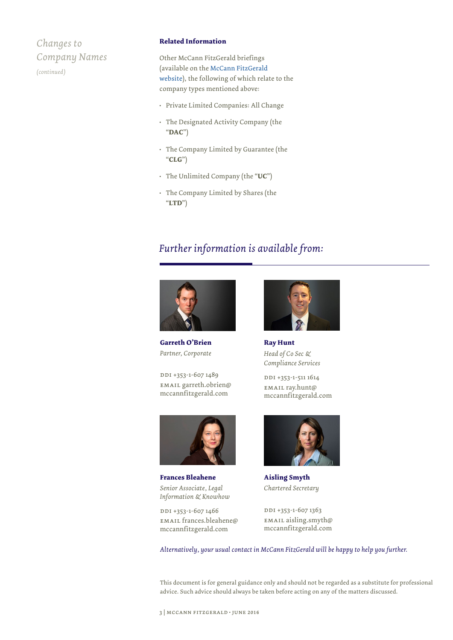### *Changes to Company Names*

*(continued)*

#### **Related Information**

Other McCann FitzGerald briefings (available on the [McCann FitzGerald](http://www.mccannfitzgerald.com/knowledge/companies-act.aspx)  [website\)](http://www.mccannfitzgerald.com/knowledge/companies-act.aspx), the following of which relate to the company types mentioned above:

- Private Limited Companies: All Change
- The Designated Activity Company (the "**DAC**")
- The Company Limited by Guarantee (the "**CLG**")
- The Unlimited Company (the "**UC**")
- The Company Limited by Shares (the "**LTD**")

### *Further information is available from:*



**Garreth O'Brien** *Partner, Corporate*

DDI +353-1-607 1489 email garreth.obrien@ mccannfitzgerald.com



**Frances Bleahene** *Senior Associate, Legal Information & Knowhow*

DDI +353-1-607 1466 email frances.bleahene@ mccannfitzgerald.com



**Ray Hunt** *Head of Co Sec & Compliance Services*

DDI +353-1-511 1614 email ray.hunt@ mccannfitzgerald.com



**Aisling Smyth** *Chartered Secretary*

DDI +353-1-607 1363 email aisling.smyth@ mccannfitzgerald.com

*Alternatively, your usual contact in McCann FitzGerald will be happy to help you further.*

This document is for general guidance only and should not be regarded as a substitute for professional advice. Such advice should always be taken before acting on any of the matters discussed.